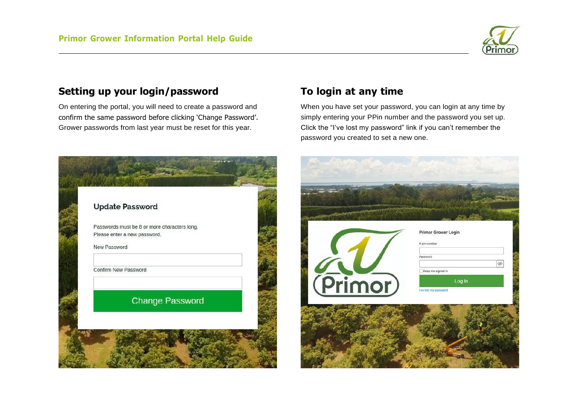

### **Setting up your login/password**

On entering the portal, you will need to create a password and confirm the same password before clicking 'Change Password'. Grower passwords from last year must be reset for this year.



### **To login at any time**

When you have set your password, you can login at any time by simply entering your PPin number and the password you set up. Click the "I've lost my password" link if you can't remember the password you created to set a new one.

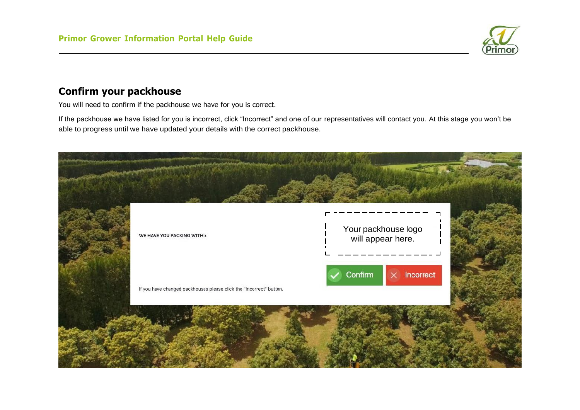

# **Confirm your packhouse**

You will need to confirm if the packhouse we have for you is correct.

If the packhouse we have listed for you is incorrect, click "Incorrect" and one of our representatives will contact you. At this stage you won't be able to progress until we have updated your details with the correct packhouse.

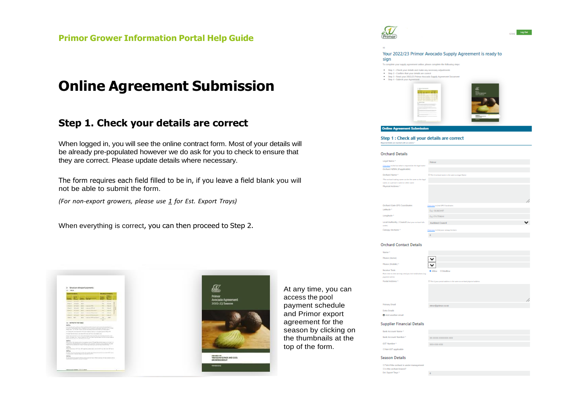# **Online Agreement Submission**

#### **Step 1. Check your details are correct**

When logged in, you will see the online contract form. Most of your details will be already pre-populated however we do ask for you to check to ensure that they are correct. Please update details where necessary.

The form requires each field filled to be in, if you leave a field blank you will not be able to submit the form.

*(For non-export growers, please use 1 for Est. Export Trays)*

When everything is correct, you can then proceed to Step 2.



At any time, you can access the pool payment schedule and Primor export agreement for the season by clicking on the thumbnails at the top of the form.